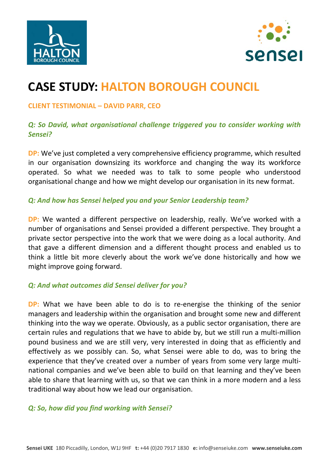



# **CASE STUDY: HALTON BOROUGH COUNCIL**

#### **CLIENT TESTIMONIAL – DAVID PARR, CEO**

### *Q: So David, what organisational challenge triggered you to consider working with Sensei?*

**DP:** We've just completed a very comprehensive efficiency programme, which resulted in our organisation downsizing its workforce and changing the way its workforce operated. So what we needed was to talk to some people who understood organisational change and how we might develop our organisation in its new format.

### *Q: And how has Sensei helped you and your Senior Leadership team?*

**DP:** We wanted a different perspective on leadership, really. We've worked with a number of organisations and Sensei provided a different perspective. They brought a private sector perspective into the work that we were doing as a local authority. And that gave a different dimension and a different thought process and enabled us to think a little bit more cleverly about the work we've done historically and how we might improve going forward.

### *Q: And what outcomes did Sensei deliver for you?*

**DP:** What we have been able to do is to re-energise the thinking of the senior managers and leadership within the organisation and brought some new and different thinking into the way we operate. Obviously, as a public sector organisation, there are certain rules and regulations that we have to abide by, but we still run a multi‐million pound business and we are still very, very interested in doing that as efficiently and effectively as we possibly can. So, what Sensei were able to do, was to bring the experience that they've created over a number of years from some very large multinational companies and we've been able to build on that learning and they've been able to share that learning with us, so that we can think in a more modern and a less traditional way about how we lead our organisation.

### *Q: So, how did you find working with Sensei?*